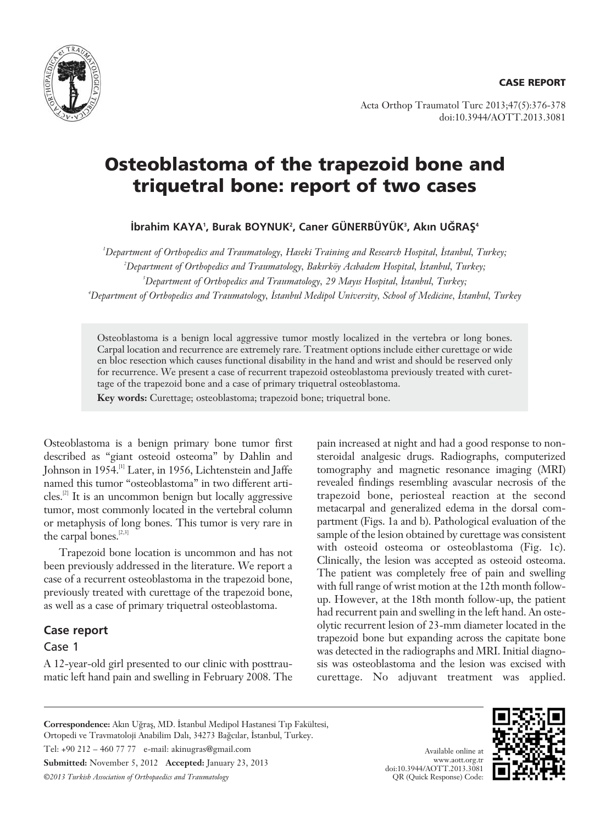

Acta Orthop Traumatol Turc 2013;47(5):376-378 doi:10.3944/AOTT.2013.3081

# **Osteoblastoma of the trapezoid bone and triquetral bone: report of two cases**

**ibrahim KAYA', Burak BOYNUK', Caner GUNERBUYUK', Akın UGRAŞ<sup>4</sup>** 

*1 Department of Orthopedics and Traumatology, Haseki Training and Research Hospital, ‹stanbul, Turkey;* <sup>2</sup>Department of Orthopedics and Traumatology, Bakırköy Acıbadem Hospital, İstanbul, Turkey; <sup>3</sup>Department of Orthopedics and Traumatology, 29 Mayıs Hospital, İstanbul, Turkey; *4 Department of Orthopedics and Traumatology, ‹stanbul Medipol University, School of Medicine, ‹stanbul, Turkey*

Osteoblastoma is a benign local aggressive tumor mostly localized in the vertebra or long bones. Carpal location and recurrence are extremely rare. Treatment options include either curettage or wide en bloc resection which causes functional disability in the hand and wrist and should be reserved only for recurrence. We present a case of recurrent trapezoid osteoblastoma previously treated with curettage of the trapezoid bone and a case of primary triquetral osteoblastoma.

**Key words:** Curettage; osteoblastoma; trapezoid bone; triquetral bone.

Osteoblastoma is a benign primary bone tumor first described as "giant osteoid osteoma" by Dahlin and Johnson in 1954.[1] Later, in 1956, Lichtenstein and Jaffe named this tumor "osteoblastoma" in two different articles.[2] It is an uncommon benign but locally aggressive tumor, most commonly located in the vertebral column or metaphysis of long bones. This tumor is very rare in the carpal bones.<sup>[2,3]</sup>

Trapezoid bone location is uncommon and has not been previously addressed in the literature. We report a case of a recurrent osteoblastoma in the trapezoid bone, previously treated with curettage of the trapezoid bone, as well as a case of primary triquetral osteoblastoma.

## **Case report**

### Case 1

A 12-year-old girl presented to our clinic with posttraumatic left hand pain and swelling in February 2008. The pain increased at night and had a good response to nonsteroidal analgesic drugs. Radiographs, computerized tomography and magnetic resonance imaging (MRI) revealed findings resembling avascular necrosis of the trapezoid bone, periosteal reaction at the second metacarpal and generalized edema in the dorsal compartment (Figs. 1a and b). Pathological evaluation of the sample of the lesion obtained by curettage was consistent with osteoid osteoma or osteoblastoma (Fig. 1c). Clinically, the lesion was accepted as osteoid osteoma. The patient was completely free of pain and swelling with full range of wrist motion at the 12th month followup. However, at the 18th month follow-up, the patient had recurrent pain and swelling in the left hand. An osteolytic recurrent lesion of 23-mm diameter located in the trapezoid bone but expanding across the capitate bone was detected in the radiographs and MRI. Initial diagnosis was osteoblastoma and the lesion was excised with curettage. No adjuvant treatment was applied.

**Correspondence:** Akın Uğraş, MD. İstanbul Medipol Hastanesi Tıp Fakültesi, Ortopedi ve Travmatoloji Anabilim Dalı, 34273 Bağcılar, İstanbul, Turkey. Tel: +90 212 – 460 77 77 e-mail: akinugras@gmail.com **Submitted:** November 5, 2012 **Accepted:** January 23, 2013 *©2013 Turkish Association of Orthopaedics and Traumatology*



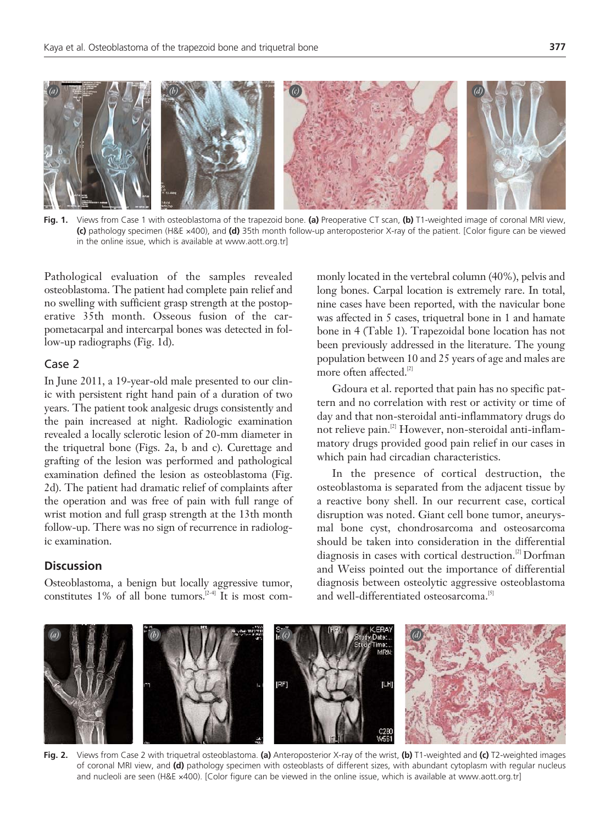

**Fig. 1.** Views from Case 1 with osteoblastoma of the trapezoid bone. **(a)** Preoperative CT scan, **(b)** T1-weighted image of coronal MRI view, **(c)** pathology specimen (H&E ×400), and **(d)** 35th month follow-up anteroposterior X-ray of the patient. [Color figure can be viewed in the online issue, which is available at www.aott.org.tr]

Pathological evaluation of the samples revealed osteoblastoma. The patient had complete pain relief and no swelling with sufficient grasp strength at the postoperative 35th month. Osseous fusion of the carpometacarpal and intercarpal bones was detected in follow-up radiographs (Fig. 1d).

### Case 2

In June 2011, a 19-year-old male presented to our clinic with persistent right hand pain of a duration of two years. The patient took analgesic drugs consistently and the pain increased at night. Radiologic examination revealed a locally sclerotic lesion of 20-mm diameter in the triquetral bone (Figs. 2a, b and c). Curettage and grafting of the lesion was performed and pathological examination defined the lesion as osteoblastoma (Fig. 2d). The patient had dramatic relief of complaints after the operation and was free of pain with full range of wrist motion and full grasp strength at the 13th month follow-up. There was no sign of recurrence in radiologic examination.

### **Discussion**

Osteoblastoma, a benign but locally aggressive tumor, constitutes 1% of all bone tumors.<sup>[2-4]</sup> It is most commonly located in the vertebral column (40%), pelvis and long bones. Carpal location is extremely rare. In total, nine cases have been reported, with the navicular bone was affected in 5 cases, triquetral bone in 1 and hamate bone in 4 (Table 1). Trapezoidal bone location has not been previously addressed in the literature. The young population between 10 and 25 years of age and males are more often affected.<sup>[2]</sup>

Gdoura et al. reported that pain has no specific pattern and no correlation with rest or activity or time of day and that non-steroidal anti-inflammatory drugs do not relieve pain.<sup>[2]</sup> However, non-steroidal anti-inflammatory drugs provided good pain relief in our cases in which pain had circadian characteristics.

In the presence of cortical destruction, the osteoblastoma is separated from the adjacent tissue by a reactive bony shell. In our recurrent case, cortical disruption was noted. Giant cell bone tumor, aneurysmal bone cyst, chondrosarcoma and osteosarcoma should be taken into consideration in the differential diagnosis in cases with cortical destruction.[2] Dorfman and Weiss pointed out the importance of differential diagnosis between osteolytic aggressive osteoblastoma and well-differentiated osteosarcoma.<sup>[5]</sup>